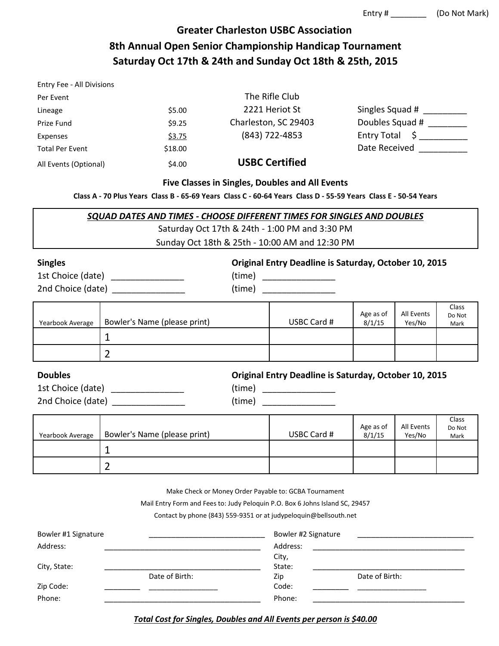# **Greater Charleston USBC Association 8th Annual Open Senior Championship Handicap Tournament Saturday Oct 17th & 24th and Sunday Oct 18th & 25th, 2015**

| Entry Fee - All Divisions |         |                       |                    |
|---------------------------|---------|-----------------------|--------------------|
| Per Event                 |         | The Rifle Club        |                    |
| Lineage                   | \$5.00  | 2221 Heriot St        | Singles Squad #    |
| Prize Fund                | \$9.25  | Charleston, SC 29403  | Doubles Squad #    |
| Expenses                  | \$3.75  | (843) 722-4853        | <b>Entry Total</b> |
| <b>Total Per Event</b>    | \$18.00 |                       | Date Received      |
| All Events (Optional)     | \$4.00  | <b>USBC Certified</b> |                    |

#### **Five Classes in Singles, Doubles and All Events**

**Class A - 70 Plus Years Class B - 65-69 Years Class C - 60-64 Years Class D - 55-59 Years Class E - 50-54 Years**

| SQUAD DATES AND TIMES - CHOOSE DIFFERENT TIMES FOR SINGLES AND DOUBLES |
|------------------------------------------------------------------------|
| Saturday Oct 17th & 24th - 1:00 PM and 3:30 PM                         |

Sunday Oct 18th & 25th - 10:00 AM and 12:30 PM

| <b>Singles</b> |  |
|----------------|--|
|----------------|--|

1st Choice (date) \_\_\_\_\_\_\_\_\_\_\_\_\_\_\_ (time) \_\_\_\_\_\_\_\_\_\_\_\_\_\_\_ 2nd Choice (date) \_\_\_\_\_\_\_\_\_\_\_\_\_\_\_ (time) \_\_\_\_\_\_\_\_\_\_\_\_\_\_\_ **Singles Original Entry Deadline is Saturday, October 10, 2015**

| (time) |  |
|--------|--|
| (time) |  |
|        |  |

| Yearbook Average | Bowler's Name (please print) | USBC Card # | Age as of<br>8/1/15 | All Events<br>Yes/No | Class<br>Do Not<br>Mark |
|------------------|------------------------------|-------------|---------------------|----------------------|-------------------------|
|                  |                              |             |                     |                      |                         |
|                  |                              |             |                     |                      |                         |

**Doubles Original Entry Deadline is Saturday, October 10, 2015**

| 1st Choice (date) |  |
|-------------------|--|
| 2nd Choice (date) |  |

 $(\text{time})$  $2n$  (time)  $\frac{1}{2}$ 

| Yearbook Average | Bowler's Name (please print) | USBC Card # | Age as of<br>8/1/15 | All Events<br>Yes/No | Class<br>Do Not<br>Mark |
|------------------|------------------------------|-------------|---------------------|----------------------|-------------------------|
|                  |                              |             |                     |                      |                         |
|                  |                              |             |                     |                      |                         |

Make Check or Money Order Payable to: GCBA Tournament

Mail Entry Form and Fees to: Judy Peloquin P.O. Box 6 Johns Island SC, 29457

Contact by phone (843) 559-9351 or at judypeloquin@bellsouth.net

| Bowler #1 Signature |                | Bowler #2 Signature |                |  |
|---------------------|----------------|---------------------|----------------|--|
| Address:            |                | Address:            |                |  |
|                     |                | City,               |                |  |
| City, State:        |                | State:              |                |  |
|                     | Date of Birth: | Zip                 | Date of Birth: |  |
| Zip Code:           |                | Code:               |                |  |
| Phone:              |                | Phone:              |                |  |

*Total Cost for Singles, Doubles and All Events per person is \$40.00*